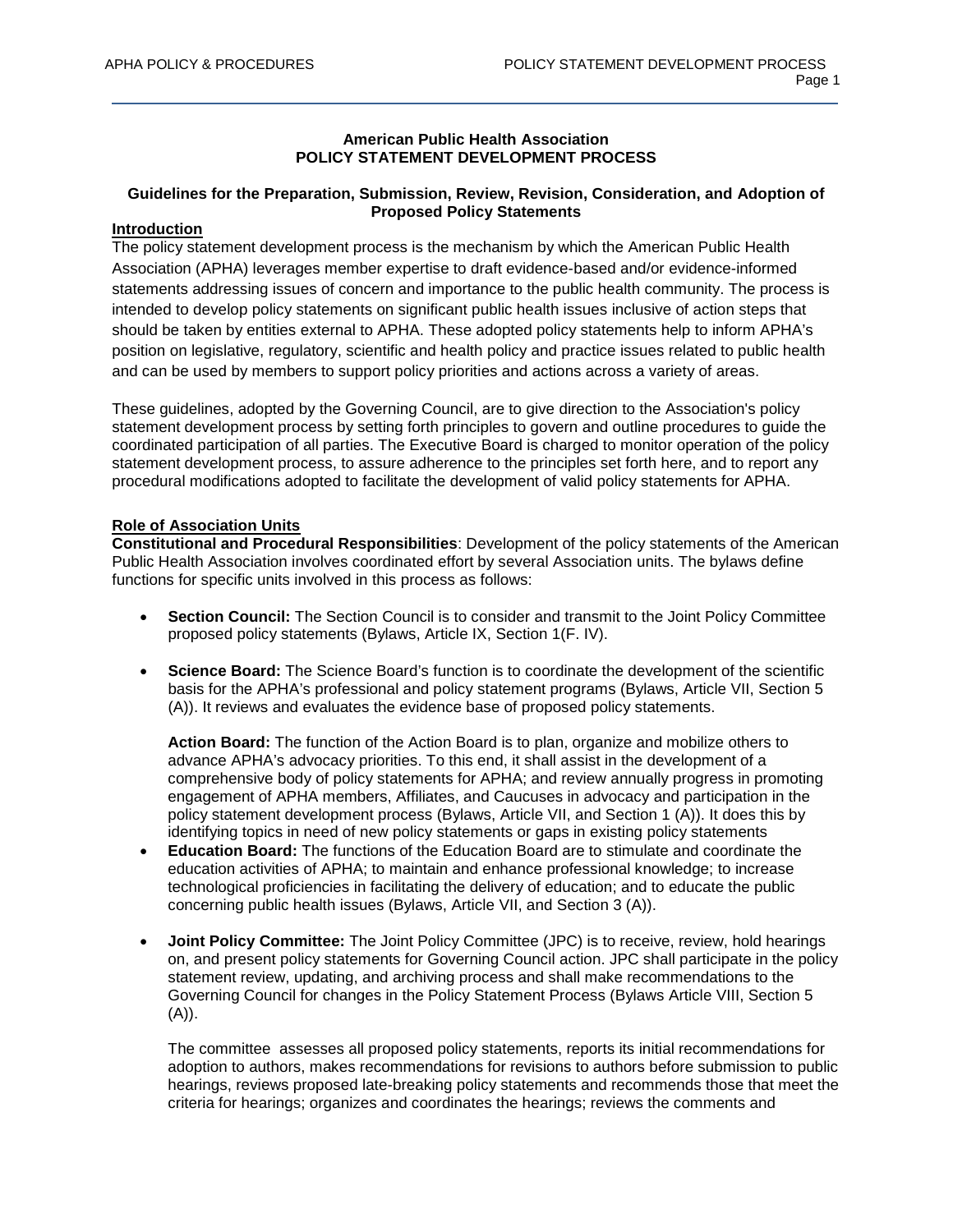# **American Public Health Association POLICY STATEMENT DEVELOPMENT PROCESS**

# **Guidelines for the Preparation, Submission, Review, Revision, Consideration, and Adoption of Proposed Policy Statements**

## **Introduction**

The policy statement development process is the mechanism by which the American Public Health Association (APHA) leverages member expertise to draft evidence-based and/or evidence-informed statements addressing issues of concern and importance to the public health community. The process is intended to develop policy statements on significant public health issues inclusive of action steps that should be taken by entities external to APHA. These adopted policy statements help to inform APHA's position on legislative, regulatory, scientific and health policy and practice issues related to public health and can be used by members to support policy priorities and actions across a variety of areas.

These guidelines, adopted by the Governing Council, are to give direction to the Association's policy statement development process by setting forth principles to govern and outline procedures to guide the coordinated participation of all parties. The Executive Board is charged to monitor operation of the policy statement development process, to assure adherence to the principles set forth here, and to report any procedural modifications adopted to facilitate the development of valid policy statements for APHA.

## **Role of Association Units**

**Constitutional and Procedural Responsibilities**: Development of the policy statements of the American Public Health Association involves coordinated effort by several Association units. The bylaws define functions for specific units involved in this process as follows:

- **Section Council:** The Section Council is to consider and transmit to the Joint Policy Committee proposed policy statements (Bylaws, Article IX, Section 1(F. IV).
- **Science Board:** The Science Board's function is to coordinate the development of the scientific basis for the APHA's professional and policy statement programs (Bylaws, Article VII, Section 5 (A)). It reviews and evaluates the evidence base of proposed policy statements.

**Action Board:** The function of the Action Board is to plan, organize and mobilize others to advance APHA's advocacy priorities. To this end, it shall assist in the development of a comprehensive body of policy statements for APHA; and review annually progress in promoting engagement of APHA members, Affiliates, and Caucuses in advocacy and participation in the policy statement development process (Bylaws, Article VII, and Section 1 (A)). It does this by identifying topics in need of new policy statements or gaps in existing policy statements

- **Education Board:** The functions of the Education Board are to stimulate and coordinate the education activities of APHA; to maintain and enhance professional knowledge; to increase technological proficiencies in facilitating the delivery of education; and to educate the public concerning public health issues (Bylaws, Article VII, and Section 3 (A)).
- **Joint Policy Committee:** The Joint Policy Committee (JPC) is to receive, review, hold hearings on, and present policy statements for Governing Council action. JPC shall participate in the policy statement review, updating, and archiving process and shall make recommendations to the Governing Council for changes in the Policy Statement Process (Bylaws Article VIII, Section 5  $(A)$ ).

The committee assesses all proposed policy statements, reports its initial recommendations for adoption to authors, makes recommendations for revisions to authors before submission to public hearings, reviews proposed late-breaking policy statements and recommends those that meet the criteria for hearings; organizes and coordinates the hearings; reviews the comments and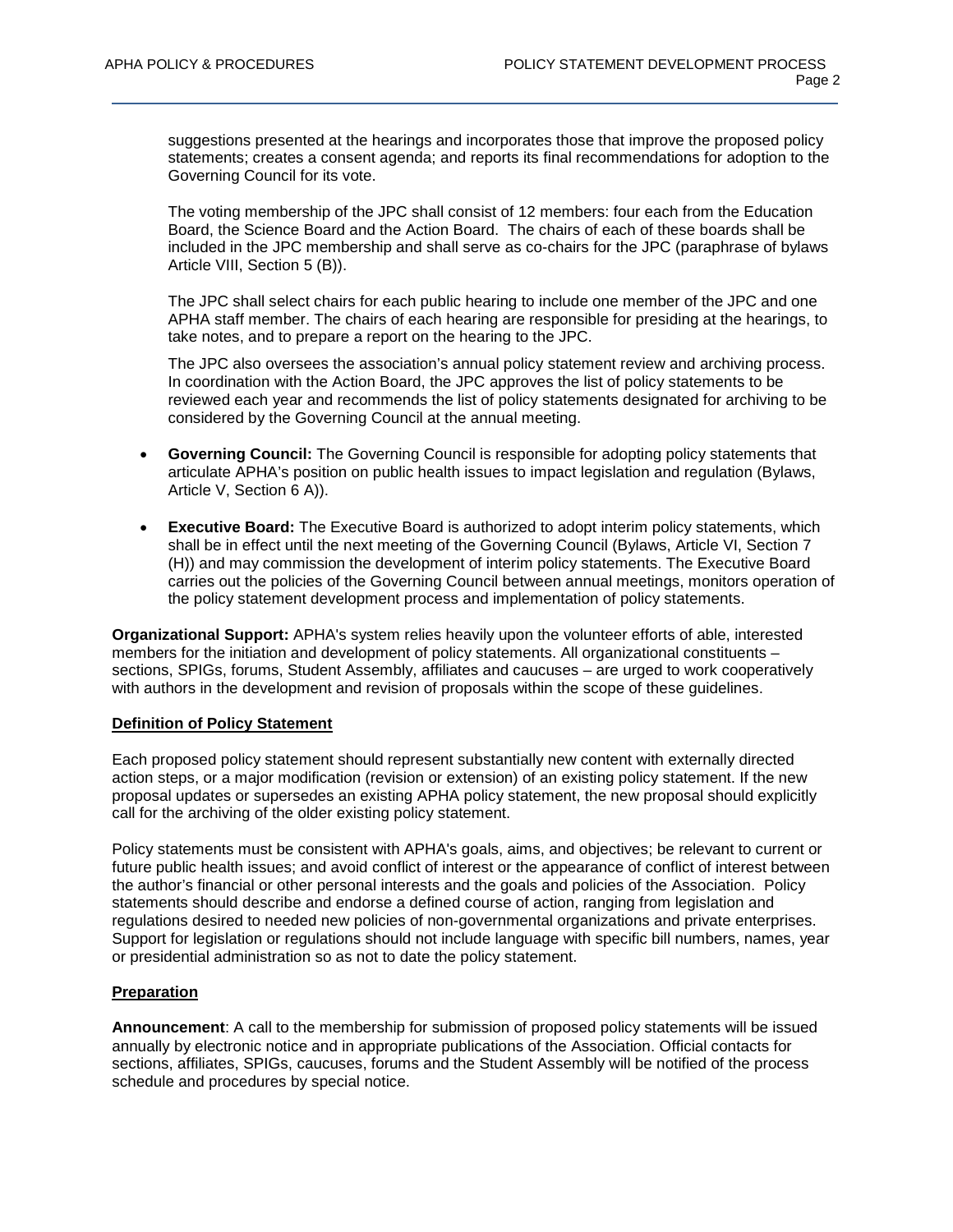suggestions presented at the hearings and incorporates those that improve the proposed policy statements; creates a consent agenda; and reports its final recommendations for adoption to the Governing Council for its vote.

The voting membership of the JPC shall consist of 12 members: four each from the Education Board, the Science Board and the Action Board. The chairs of each of these boards shall be included in the JPC membership and shall serve as co-chairs for the JPC (paraphrase of bylaws Article VIII, Section 5 (B)).

The JPC shall select chairs for each public hearing to include one member of the JPC and one APHA staff member. The chairs of each hearing are responsible for presiding at the hearings, to take notes, and to prepare a report on the hearing to the JPC.

The JPC also oversees the association's annual policy statement review and archiving process. In coordination with the Action Board, the JPC approves the list of policy statements to be reviewed each year and recommends the list of policy statements designated for archiving to be considered by the Governing Council at the annual meeting.

- **Governing Council:** The Governing Council is responsible for adopting policy statements that articulate APHA's position on public health issues to impact legislation and regulation (Bylaws, Article V, Section 6 A)).
- **Executive Board:** The Executive Board is authorized to adopt interim policy statements, which shall be in effect until the next meeting of the Governing Council (Bylaws, Article VI, Section 7 (H)) and may commission the development of interim policy statements. The Executive Board carries out the policies of the Governing Council between annual meetings, monitors operation of the policy statement development process and implementation of policy statements.

**Organizational Support:** APHA's system relies heavily upon the volunteer efforts of able, interested members for the initiation and development of policy statements. All organizational constituents – sections, SPIGs, forums, Student Assembly, affiliates and caucuses – are urged to work cooperatively with authors in the development and revision of proposals within the scope of these guidelines.

## **Definition of Policy Statement**

Each proposed policy statement should represent substantially new content with externally directed action steps, or a major modification (revision or extension) of an existing policy statement. If the new proposal updates or supersedes an existing APHA policy statement, the new proposal should explicitly call for the archiving of the older existing policy statement.

Policy statements must be consistent with APHA's goals, aims, and objectives; be relevant to current or future public health issues; and avoid conflict of interest or the appearance of conflict of interest between the author's financial or other personal interests and the goals and policies of the Association. Policy statements should describe and endorse a defined course of action, ranging from legislation and regulations desired to needed new policies of non-governmental organizations and private enterprises. Support for legislation or regulations should not include language with specific bill numbers, names, year or presidential administration so as not to date the policy statement.

# **Preparation**

**Announcement**: A call to the membership for submission of proposed policy statements will be issued annually by electronic notice and in appropriate publications of the Association. Official contacts for sections, affiliates, SPIGs, caucuses, forums and the Student Assembly will be notified of the process schedule and procedures by special notice.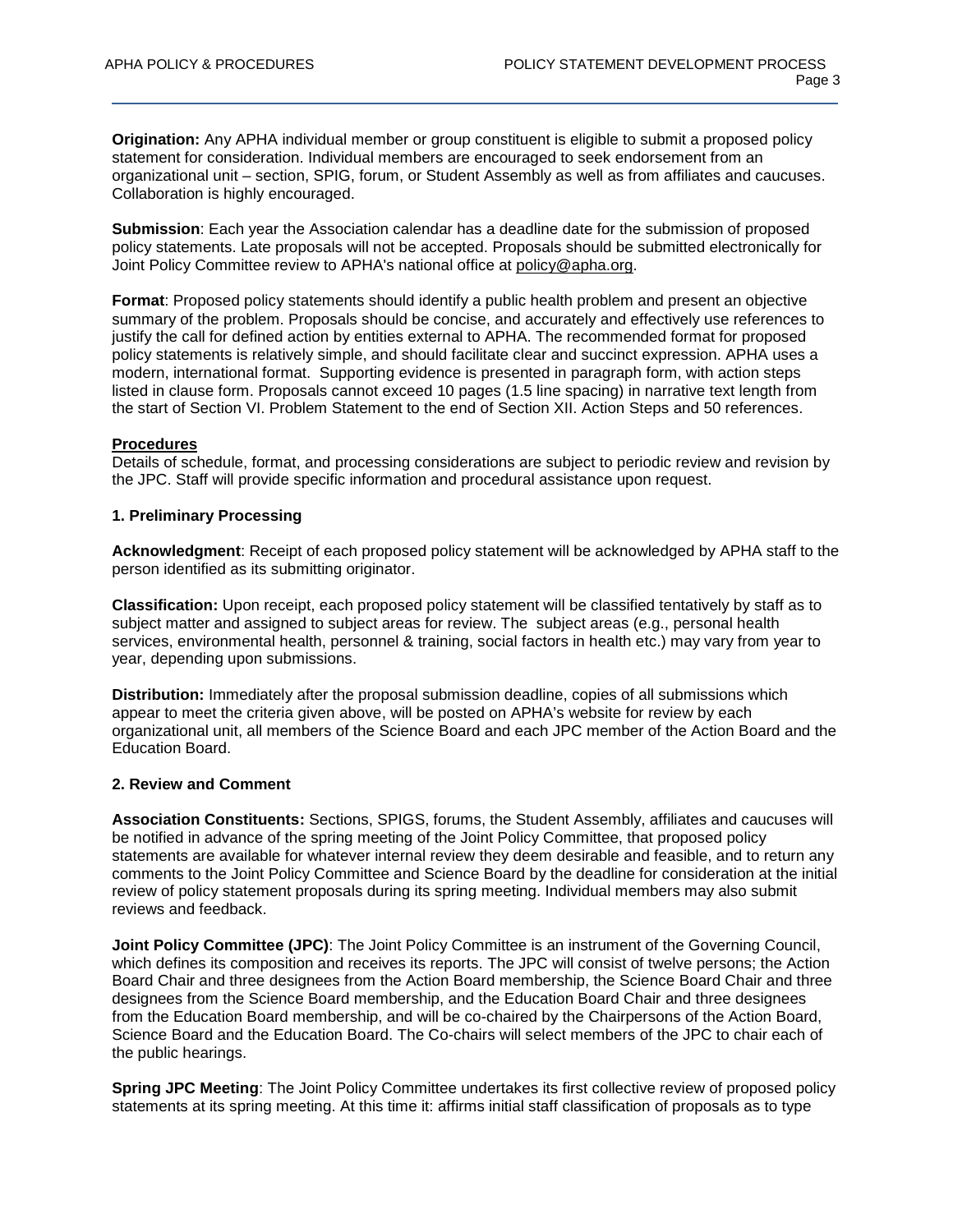**Origination:** Any APHA individual member or group constituent is eligible to submit a proposed policy statement for consideration. Individual members are encouraged to seek endorsement from an organizational unit – section, SPIG, forum, or Student Assembly as well as from affiliates and caucuses. Collaboration is highly encouraged.

**Submission**: Each year the Association calendar has a deadline date for the submission of proposed policy statements. Late proposals will not be accepted. Proposals should be submitted electronically for Joint Policy Committee review to APHA's national office at policy@apha.org.

**Format**: Proposed policy statements should identify a public health problem and present an objective summary of the problem. Proposals should be concise, and accurately and effectively use references to justify the call for defined action by entities external to APHA. The recommended format for proposed policy statements is relatively simple, and should facilitate clear and succinct expression. APHA uses a modern, international format. Supporting evidence is presented in paragraph form, with action steps listed in clause form. Proposals cannot exceed 10 pages (1.5 line spacing) in narrative text length from the start of Section VI. Problem Statement to the end of Section XII. Action Steps and 50 references.

### **Procedures**

Details of schedule, format, and processing considerations are subject to periodic review and revision by the JPC. Staff will provide specific information and procedural assistance upon request.

### **1. Preliminary Processing**

**Acknowledgment**: Receipt of each proposed policy statement will be acknowledged by APHA staff to the person identified as its submitting originator.

**Classification:** Upon receipt, each proposed policy statement will be classified tentatively by staff as to subject matter and assigned to subject areas for review. The subject areas (e.g., personal health services, environmental health, personnel & training, social factors in health etc.) may vary from year to year, depending upon submissions.

**Distribution:** Immediately after the proposal submission deadline, copies of all submissions which appear to meet the criteria given above, will be posted on APHA's website for review by each organizational unit, all members of the Science Board and each JPC member of the Action Board and the Education Board.

## **2. Review and Comment**

**Association Constituents:** Sections, SPIGS, forums, the Student Assembly, affiliates and caucuses will be notified in advance of the spring meeting of the Joint Policy Committee, that proposed policy statements are available for whatever internal review they deem desirable and feasible, and to return any comments to the Joint Policy Committee and Science Board by the deadline for consideration at the initial review of policy statement proposals during its spring meeting. Individual members may also submit reviews and feedback.

**Joint Policy Committee (JPC)**: The Joint Policy Committee is an instrument of the Governing Council, which defines its composition and receives its reports. The JPC will consist of twelve persons; the Action Board Chair and three designees from the Action Board membership, the Science Board Chair and three designees from the Science Board membership, and the Education Board Chair and three designees from the Education Board membership, and will be co-chaired by the Chairpersons of the Action Board, Science Board and the Education Board. The Co-chairs will select members of the JPC to chair each of the public hearings.

**Spring JPC Meeting**: The Joint Policy Committee undertakes its first collective review of proposed policy statements at its spring meeting. At this time it: affirms initial staff classification of proposals as to type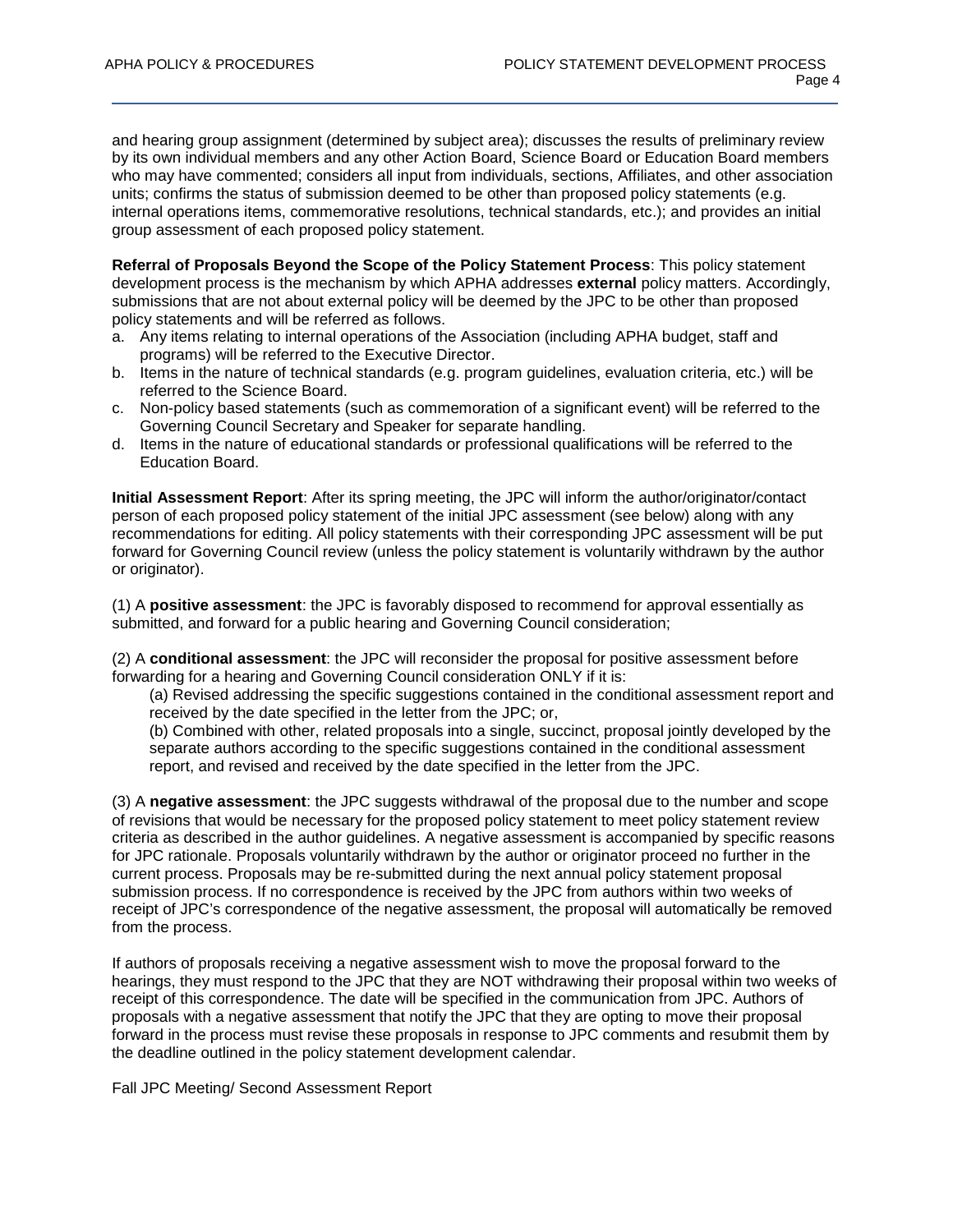and hearing group assignment (determined by subject area); discusses the results of preliminary review by its own individual members and any other Action Board, Science Board or Education Board members who may have commented; considers all input from individuals, sections, Affiliates, and other association units; confirms the status of submission deemed to be other than proposed policy statements (e.g. internal operations items, commemorative resolutions, technical standards, etc.); and provides an initial group assessment of each proposed policy statement.

**Referral of Proposals Beyond the Scope of the Policy Statement Process**: This policy statement development process is the mechanism by which APHA addresses **external** policy matters. Accordingly, submissions that are not about external policy will be deemed by the JPC to be other than proposed policy statements and will be referred as follows.

- a. Any items relating to internal operations of the Association (including APHA budget, staff and programs) will be referred to the Executive Director.
- b. Items in the nature of technical standards (e.g. program guidelines, evaluation criteria, etc.) will be referred to the Science Board.
- c. Non-policy based statements (such as commemoration of a significant event) will be referred to the Governing Council Secretary and Speaker for separate handling.
- d. Items in the nature of educational standards or professional qualifications will be referred to the Education Board.

**Initial Assessment Report**: After its spring meeting, the JPC will inform the author/originator/contact person of each proposed policy statement of the initial JPC assessment (see below) along with any recommendations for editing. All policy statements with their corresponding JPC assessment will be put forward for Governing Council review (unless the policy statement is voluntarily withdrawn by the author or originator).

(1) A **positive assessment**: the JPC is favorably disposed to recommend for approval essentially as submitted, and forward for a public hearing and Governing Council consideration;

(2) A **conditional assessment**: the JPC will reconsider the proposal for positive assessment before forwarding for a hearing and Governing Council consideration ONLY if it is:

(a) Revised addressing the specific suggestions contained in the conditional assessment report and received by the date specified in the letter from the JPC; or,

(b) Combined with other, related proposals into a single, succinct, proposal jointly developed by the separate authors according to the specific suggestions contained in the conditional assessment report, and revised and received by the date specified in the letter from the JPC.

(3) A **negative assessment**: the JPC suggests withdrawal of the proposal due to the number and scope of revisions that would be necessary for the proposed policy statement to meet policy statement review criteria as described in the author guidelines. A negative assessment is accompanied by specific reasons for JPC rationale. Proposals voluntarily withdrawn by the author or originator proceed no further in the current process. Proposals may be re-submitted during the next annual policy statement proposal submission process. If no correspondence is received by the JPC from authors within two weeks of receipt of JPC's correspondence of the negative assessment, the proposal will automatically be removed from the process.

If authors of proposals receiving a negative assessment wish to move the proposal forward to the hearings, they must respond to the JPC that they are NOT withdrawing their proposal within two weeks of receipt of this correspondence. The date will be specified in the communication from JPC. Authors of proposals with a negative assessment that notify the JPC that they are opting to move their proposal forward in the process must revise these proposals in response to JPC comments and resubmit them by the deadline outlined in the policy statement development calendar.

Fall JPC Meeting/ Second Assessment Report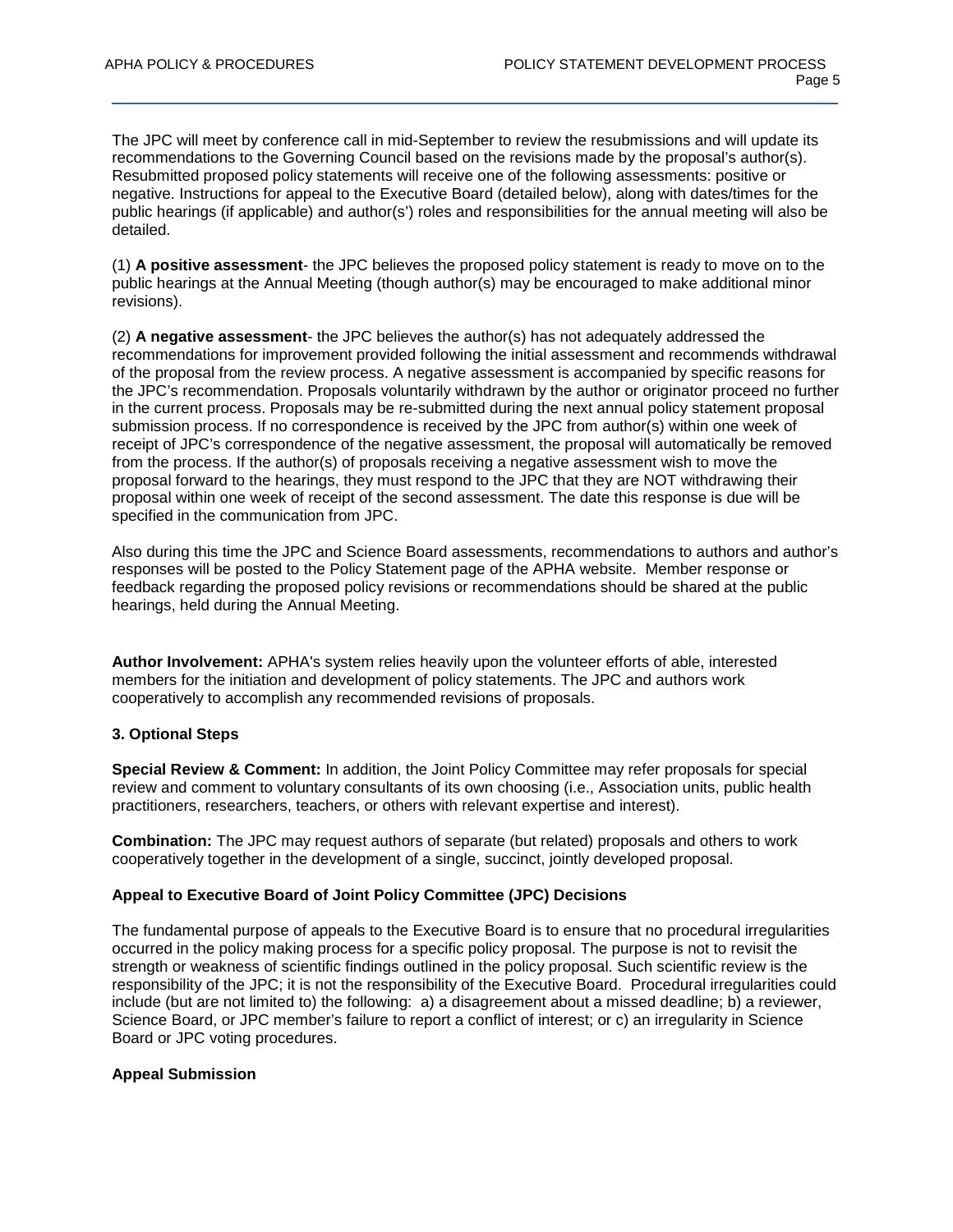The JPC will meet by conference call in mid-September to review the resubmissions and will update its recommendations to the Governing Council based on the revisions made by the proposal's author(s). Resubmitted proposed policy statements will receive one of the following assessments: positive or negative. Instructions for appeal to the Executive Board (detailed below), along with dates/times for the public hearings (if applicable) and author(s') roles and responsibilities for the annual meeting will also be detailed.

(1) **A positive assessment**- the JPC believes the proposed policy statement is ready to move on to the public hearings at the Annual Meeting (though author(s) may be encouraged to make additional minor revisions).

(2) **A negative assessment**- the JPC believes the author(s) has not adequately addressed the recommendations for improvement provided following the initial assessment and recommends withdrawal of the proposal from the review process. A negative assessment is accompanied by specific reasons for the JPC's recommendation. Proposals voluntarily withdrawn by the author or originator proceed no further in the current process. Proposals may be re-submitted during the next annual policy statement proposal submission process. If no correspondence is received by the JPC from author(s) within one week of receipt of JPC's correspondence of the negative assessment, the proposal will automatically be removed from the process. If the author(s) of proposals receiving a negative assessment wish to move the proposal forward to the hearings, they must respond to the JPC that they are NOT withdrawing their proposal within one week of receipt of the second assessment. The date this response is due will be specified in the communication from JPC.

Also during this time the JPC and Science Board assessments, recommendations to authors and author's responses will be posted to the Policy Statement page of the APHA website. Member response or feedback regarding the proposed policy revisions or recommendations should be shared at the public hearings, held during the Annual Meeting.

**Author Involvement:** APHA's system relies heavily upon the volunteer efforts of able, interested members for the initiation and development of policy statements. The JPC and authors work cooperatively to accomplish any recommended revisions of proposals.

## **3. Optional Steps**

**Special Review & Comment:** In addition, the Joint Policy Committee may refer proposals for special review and comment to voluntary consultants of its own choosing (i.e., Association units, public health practitioners, researchers, teachers, or others with relevant expertise and interest).

**Combination:** The JPC may request authors of separate (but related) proposals and others to work cooperatively together in the development of a single, succinct, jointly developed proposal.

## **Appeal to Executive Board of Joint Policy Committee (JPC) Decisions**

The fundamental purpose of appeals to the Executive Board is to ensure that no procedural irregularities occurred in the policy making process for a specific policy proposal. The purpose is not to revisit the strength or weakness of scientific findings outlined in the policy proposal. Such scientific review is the responsibility of the JPC; it is not the responsibility of the Executive Board. Procedural irregularities could include (but are not limited to) the following: a) a disagreement about a missed deadline; b) a reviewer, Science Board, or JPC member's failure to report a conflict of interest; or c) an irregularity in Science Board or JPC voting procedures.

## **Appeal Submission**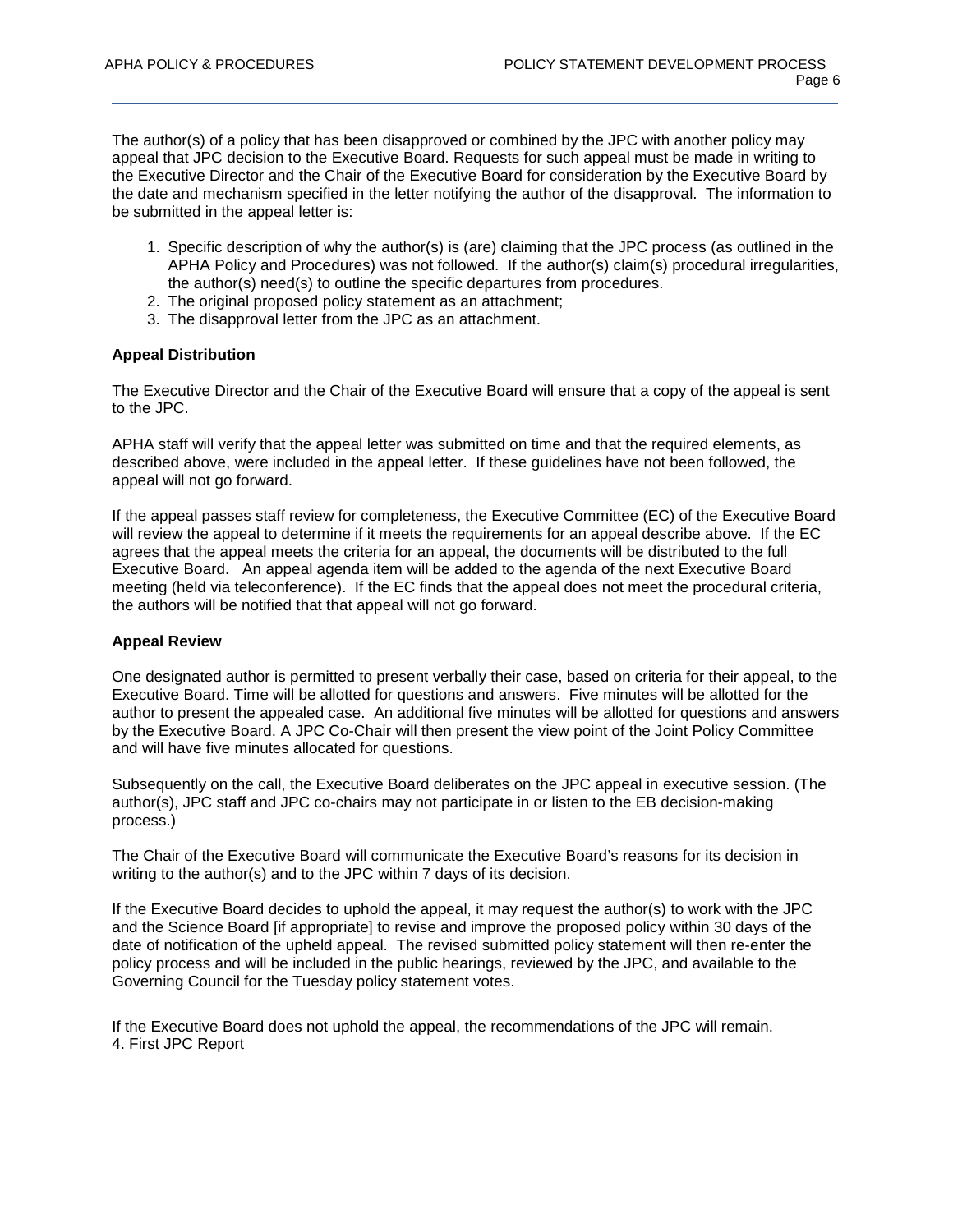The author(s) of a policy that has been disapproved or combined by the JPC with another policy may appeal that JPC decision to the Executive Board. Requests for such appeal must be made in writing to the Executive Director and the Chair of the Executive Board for consideration by the Executive Board by the date and mechanism specified in the letter notifying the author of the disapproval. The information to be submitted in the appeal letter is:

- 1. Specific description of why the author(s) is (are) claiming that the JPC process (as outlined in the APHA Policy and Procedures) was not followed. If the author(s) claim(s) procedural irregularities, the author(s) need(s) to outline the specific departures from procedures.
- 2. The original proposed policy statement as an attachment;
- 3. The disapproval letter from the JPC as an attachment.

## **Appeal Distribution**

The Executive Director and the Chair of the Executive Board will ensure that a copy of the appeal is sent to the JPC.

APHA staff will verify that the appeal letter was submitted on time and that the required elements, as described above, were included in the appeal letter. If these guidelines have not been followed, the appeal will not go forward.

If the appeal passes staff review for completeness, the Executive Committee (EC) of the Executive Board will review the appeal to determine if it meets the requirements for an appeal describe above. If the EC agrees that the appeal meets the criteria for an appeal, the documents will be distributed to the full Executive Board. An appeal agenda item will be added to the agenda of the next Executive Board meeting (held via teleconference). If the EC finds that the appeal does not meet the procedural criteria, the authors will be notified that that appeal will not go forward.

## **Appeal Review**

One designated author is permitted to present verbally their case, based on criteria for their appeal, to the Executive Board. Time will be allotted for questions and answers. Five minutes will be allotted for the author to present the appealed case. An additional five minutes will be allotted for questions and answers by the Executive Board. A JPC Co-Chair will then present the view point of the Joint Policy Committee and will have five minutes allocated for questions.

Subsequently on the call, the Executive Board deliberates on the JPC appeal in executive session. (The author(s), JPC staff and JPC co-chairs may not participate in or listen to the EB decision-making process.)

The Chair of the Executive Board will communicate the Executive Board's reasons for its decision in writing to the author(s) and to the JPC within 7 days of its decision.

If the Executive Board decides to uphold the appeal, it may request the author(s) to work with the JPC and the Science Board [if appropriate] to revise and improve the proposed policy within 30 days of the date of notification of the upheld appeal. The revised submitted policy statement will then re-enter the policy process and will be included in the public hearings, reviewed by the JPC, and available to the Governing Council for the Tuesday policy statement votes.

If the Executive Board does not uphold the appeal, the recommendations of the JPC will remain. 4. First JPC Report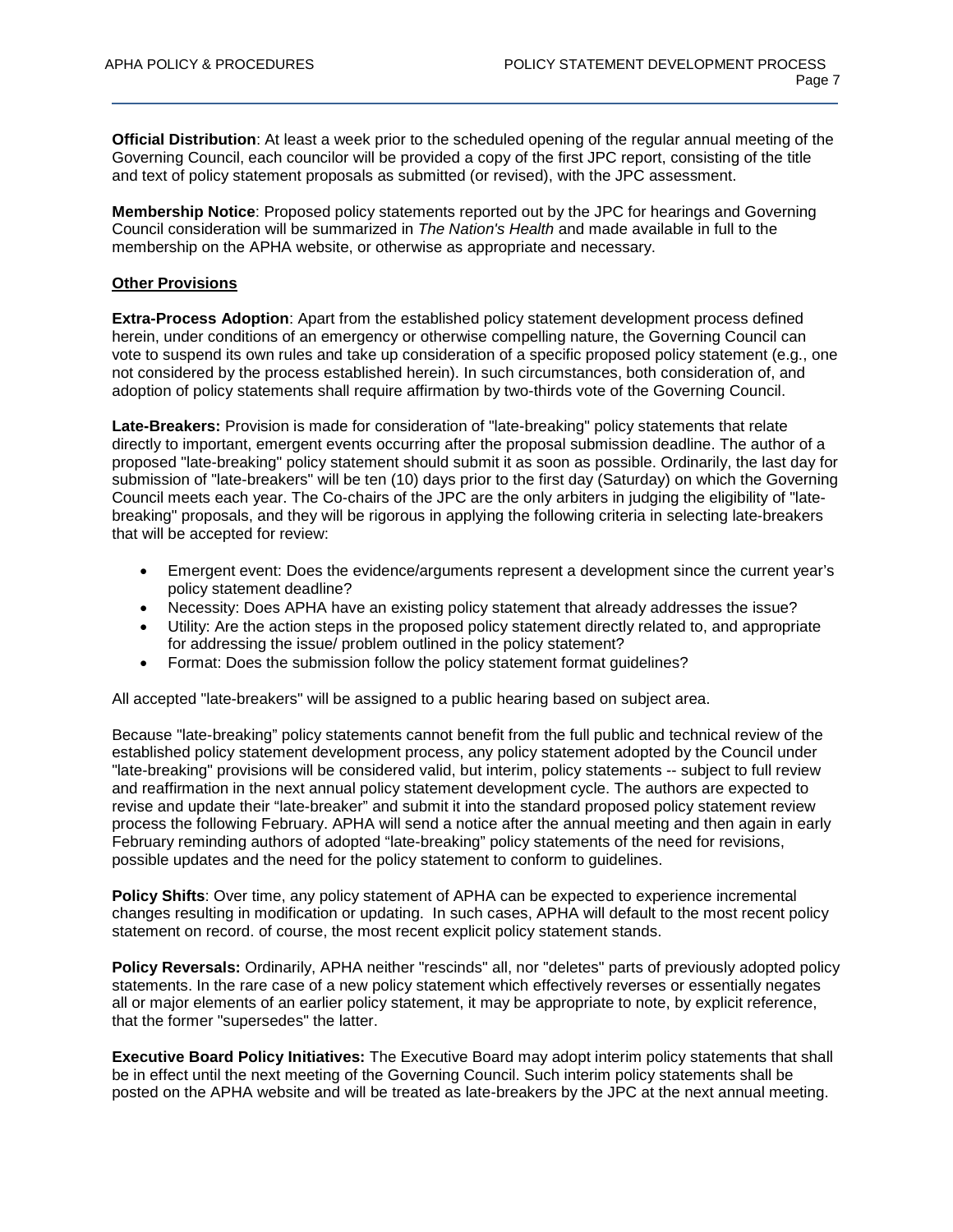**Official Distribution**: At least a week prior to the scheduled opening of the regular annual meeting of the Governing Council, each councilor will be provided a copy of the first JPC report, consisting of the title and text of policy statement proposals as submitted (or revised), with the JPC assessment.

**Membership Notice**: Proposed policy statements reported out by the JPC for hearings and Governing Council consideration will be summarized in *The Nation's Health* and made available in full to the membership on the APHA website, or otherwise as appropriate and necessary.

### **Other Provisions**

**Extra-Process Adoption**: Apart from the established policy statement development process defined herein, under conditions of an emergency or otherwise compelling nature, the Governing Council can vote to suspend its own rules and take up consideration of a specific proposed policy statement (e.g., one not considered by the process established herein). In such circumstances, both consideration of, and adoption of policy statements shall require affirmation by two-thirds vote of the Governing Council.

**Late-Breakers:** Provision is made for consideration of "late-breaking" policy statements that relate directly to important, emergent events occurring after the proposal submission deadline. The author of a proposed "late-breaking" policy statement should submit it as soon as possible. Ordinarily, the last day for submission of "late-breakers" will be ten (10) days prior to the first day (Saturday) on which the Governing Council meets each year. The Co-chairs of the JPC are the only arbiters in judging the eligibility of "latebreaking" proposals, and they will be rigorous in applying the following criteria in selecting late-breakers that will be accepted for review:

- Emergent event: Does the evidence/arguments represent a development since the current year's policy statement deadline?
- Necessity: Does APHA have an existing policy statement that already addresses the issue?
- Utility: Are the action steps in the proposed policy statement directly related to, and appropriate for addressing the issue/ problem outlined in the policy statement?
- Format: Does the submission follow the policy statement format guidelines?

All accepted "late-breakers" will be assigned to a public hearing based on subject area.

Because "late-breaking" policy statements cannot benefit from the full public and technical review of the established policy statement development process, any policy statement adopted by the Council under "late-breaking" provisions will be considered valid, but interim, policy statements -- subject to full review and reaffirmation in the next annual policy statement development cycle. The authors are expected to revise and update their "late-breaker" and submit it into the standard proposed policy statement review process the following February. APHA will send a notice after the annual meeting and then again in early February reminding authors of adopted "late-breaking" policy statements of the need for revisions, possible updates and the need for the policy statement to conform to guidelines.

**Policy Shifts**: Over time, any policy statement of APHA can be expected to experience incremental changes resulting in modification or updating. In such cases, APHA will default to the most recent policy statement on record. of course, the most recent explicit policy statement stands.

**Policy Reversals:** Ordinarily, APHA neither "rescinds" all, nor "deletes" parts of previously adopted policy statements. In the rare case of a new policy statement which effectively reverses or essentially negates all or major elements of an earlier policy statement, it may be appropriate to note, by explicit reference, that the former "supersedes" the latter.

**Executive Board Policy Initiatives:** The Executive Board may adopt interim policy statements that shall be in effect until the next meeting of the Governing Council. Such interim policy statements shall be posted on the APHA website and will be treated as late-breakers by the JPC at the next annual meeting.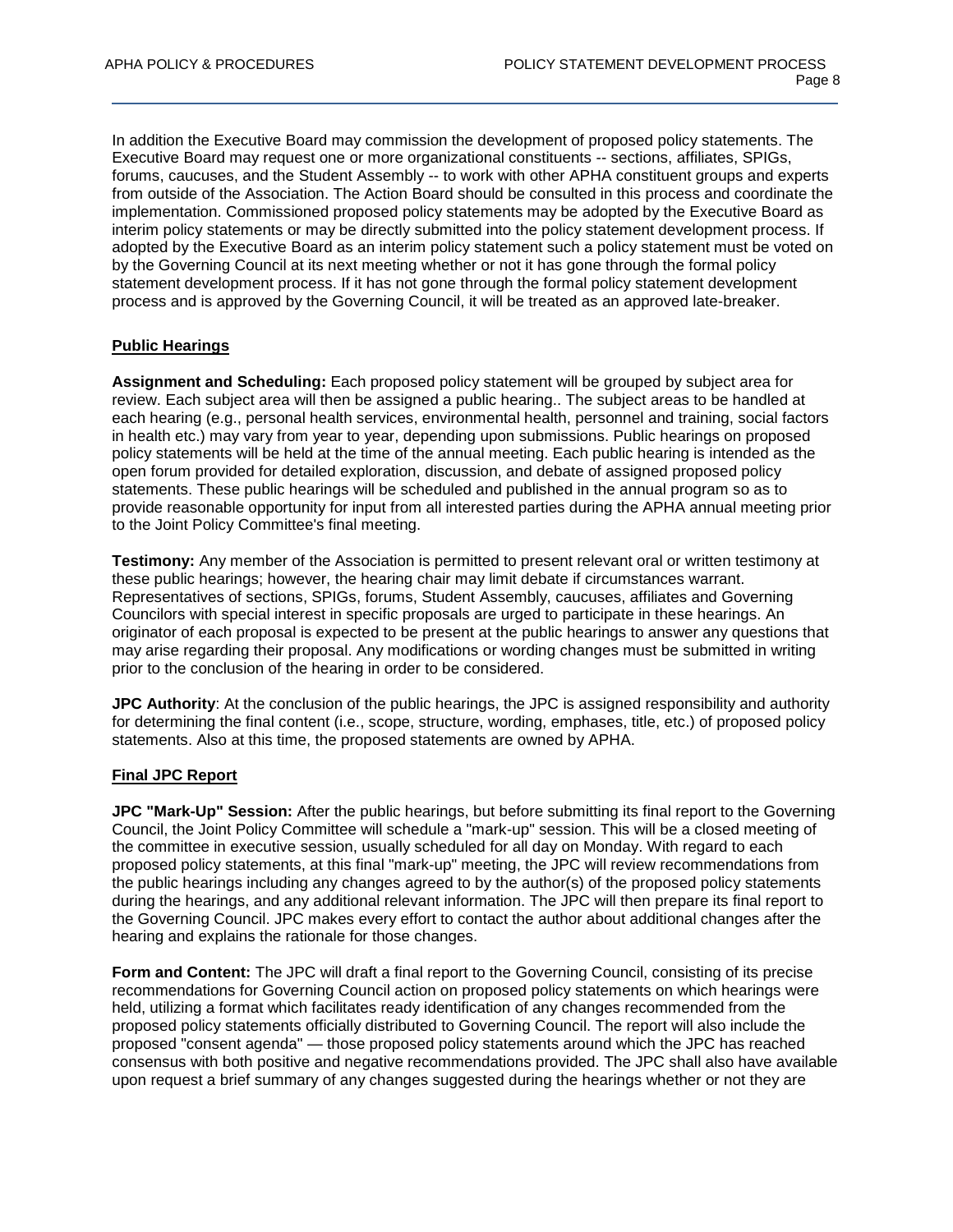In addition the Executive Board may commission the development of proposed policy statements. The Executive Board may request one or more organizational constituents -- sections, affiliates, SPIGs, forums, caucuses, and the Student Assembly -- to work with other APHA constituent groups and experts from outside of the Association. The Action Board should be consulted in this process and coordinate the implementation. Commissioned proposed policy statements may be adopted by the Executive Board as interim policy statements or may be directly submitted into the policy statement development process. If adopted by the Executive Board as an interim policy statement such a policy statement must be voted on by the Governing Council at its next meeting whether or not it has gone through the formal policy statement development process. If it has not gone through the formal policy statement development process and is approved by the Governing Council, it will be treated as an approved late-breaker.

# **Public Hearings**

**Assignment and Scheduling:** Each proposed policy statement will be grouped by subject area for review. Each subject area will then be assigned a public hearing.. The subject areas to be handled at each hearing (e.g., personal health services, environmental health, personnel and training, social factors in health etc.) may vary from year to year, depending upon submissions. Public hearings on proposed policy statements will be held at the time of the annual meeting. Each public hearing is intended as the open forum provided for detailed exploration, discussion, and debate of assigned proposed policy statements. These public hearings will be scheduled and published in the annual program so as to provide reasonable opportunity for input from all interested parties during the APHA annual meeting prior to the Joint Policy Committee's final meeting.

**Testimony:** Any member of the Association is permitted to present relevant oral or written testimony at these public hearings; however, the hearing chair may limit debate if circumstances warrant. Representatives of sections, SPIGs, forums, Student Assembly, caucuses, affiliates and Governing Councilors with special interest in specific proposals are urged to participate in these hearings. An originator of each proposal is expected to be present at the public hearings to answer any questions that may arise regarding their proposal. Any modifications or wording changes must be submitted in writing prior to the conclusion of the hearing in order to be considered.

**JPC Authority**: At the conclusion of the public hearings, the JPC is assigned responsibility and authority for determining the final content (i.e., scope, structure, wording, emphases, title, etc.) of proposed policy statements. Also at this time, the proposed statements are owned by APHA.

## **Final JPC Report**

**JPC "Mark-Up" Session:** After the public hearings, but before submitting its final report to the Governing Council, the Joint Policy Committee will schedule a "mark-up" session. This will be a closed meeting of the committee in executive session, usually scheduled for all day on Monday. With regard to each proposed policy statements, at this final "mark-up" meeting, the JPC will review recommendations from the public hearings including any changes agreed to by the author(s) of the proposed policy statements during the hearings, and any additional relevant information. The JPC will then prepare its final report to the Governing Council. JPC makes every effort to contact the author about additional changes after the hearing and explains the rationale for those changes.

**Form and Content:** The JPC will draft a final report to the Governing Council, consisting of its precise recommendations for Governing Council action on proposed policy statements on which hearings were held, utilizing a format which facilitates ready identification of any changes recommended from the proposed policy statements officially distributed to Governing Council. The report will also include the proposed "consent agenda" — those proposed policy statements around which the JPC has reached consensus with both positive and negative recommendations provided. The JPC shall also have available upon request a brief summary of any changes suggested during the hearings whether or not they are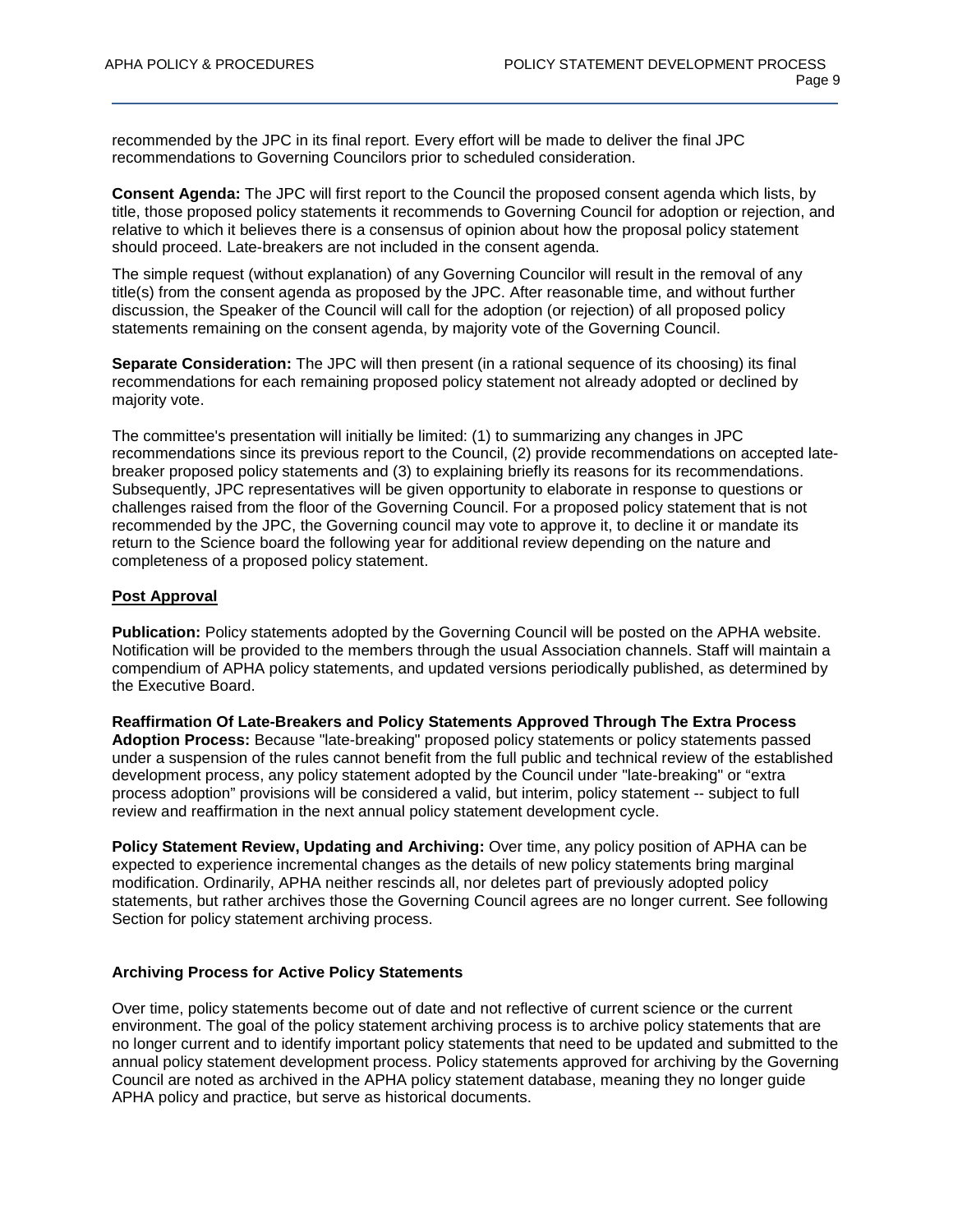recommended by the JPC in its final report. Every effort will be made to deliver the final JPC recommendations to Governing Councilors prior to scheduled consideration.

**Consent Agenda:** The JPC will first report to the Council the proposed consent agenda which lists, by title, those proposed policy statements it recommends to Governing Council for adoption or rejection, and relative to which it believes there is a consensus of opinion about how the proposal policy statement should proceed. Late-breakers are not included in the consent agenda.

The simple request (without explanation) of any Governing Councilor will result in the removal of any title(s) from the consent agenda as proposed by the JPC. After reasonable time, and without further discussion, the Speaker of the Council will call for the adoption (or rejection) of all proposed policy statements remaining on the consent agenda, by majority vote of the Governing Council.

**Separate Consideration:** The JPC will then present (in a rational sequence of its choosing) its final recommendations for each remaining proposed policy statement not already adopted or declined by majority vote.

The committee's presentation will initially be limited: (1) to summarizing any changes in JPC recommendations since its previous report to the Council, (2) provide recommendations on accepted latebreaker proposed policy statements and (3) to explaining briefly its reasons for its recommendations. Subsequently, JPC representatives will be given opportunity to elaborate in response to questions or challenges raised from the floor of the Governing Council. For a proposed policy statement that is not recommended by the JPC, the Governing council may vote to approve it, to decline it or mandate its return to the Science board the following year for additional review depending on the nature and completeness of a proposed policy statement.

### **Post Approval**

**Publication:** Policy statements adopted by the Governing Council will be posted on the APHA website. Notification will be provided to the members through the usual Association channels. Staff will maintain a compendium of APHA policy statements, and updated versions periodically published, as determined by the Executive Board.

**Reaffirmation Of Late-Breakers and Policy Statements Approved Through The Extra Process Adoption Process:** Because "late-breaking" proposed policy statements or policy statements passed under a suspension of the rules cannot benefit from the full public and technical review of the established development process, any policy statement adopted by the Council under "late-breaking" or "extra process adoption" provisions will be considered a valid, but interim, policy statement -- subject to full review and reaffirmation in the next annual policy statement development cycle.

**Policy Statement Review, Updating and Archiving:** Over time, any policy position of APHA can be expected to experience incremental changes as the details of new policy statements bring marginal modification. Ordinarily, APHA neither rescinds all, nor deletes part of previously adopted policy statements, but rather archives those the Governing Council agrees are no longer current. See following Section for policy statement archiving process.

#### **Archiving Process for Active Policy Statements**

Over time, policy statements become out of date and not reflective of current science or the current environment. The goal of the policy statement archiving process is to archive policy statements that are no longer current and to identify important policy statements that need to be updated and submitted to the annual policy statement development process. Policy statements approved for archiving by the Governing Council are noted as archived in the APHA policy statement database, meaning they no longer guide APHA policy and practice, but serve as historical documents.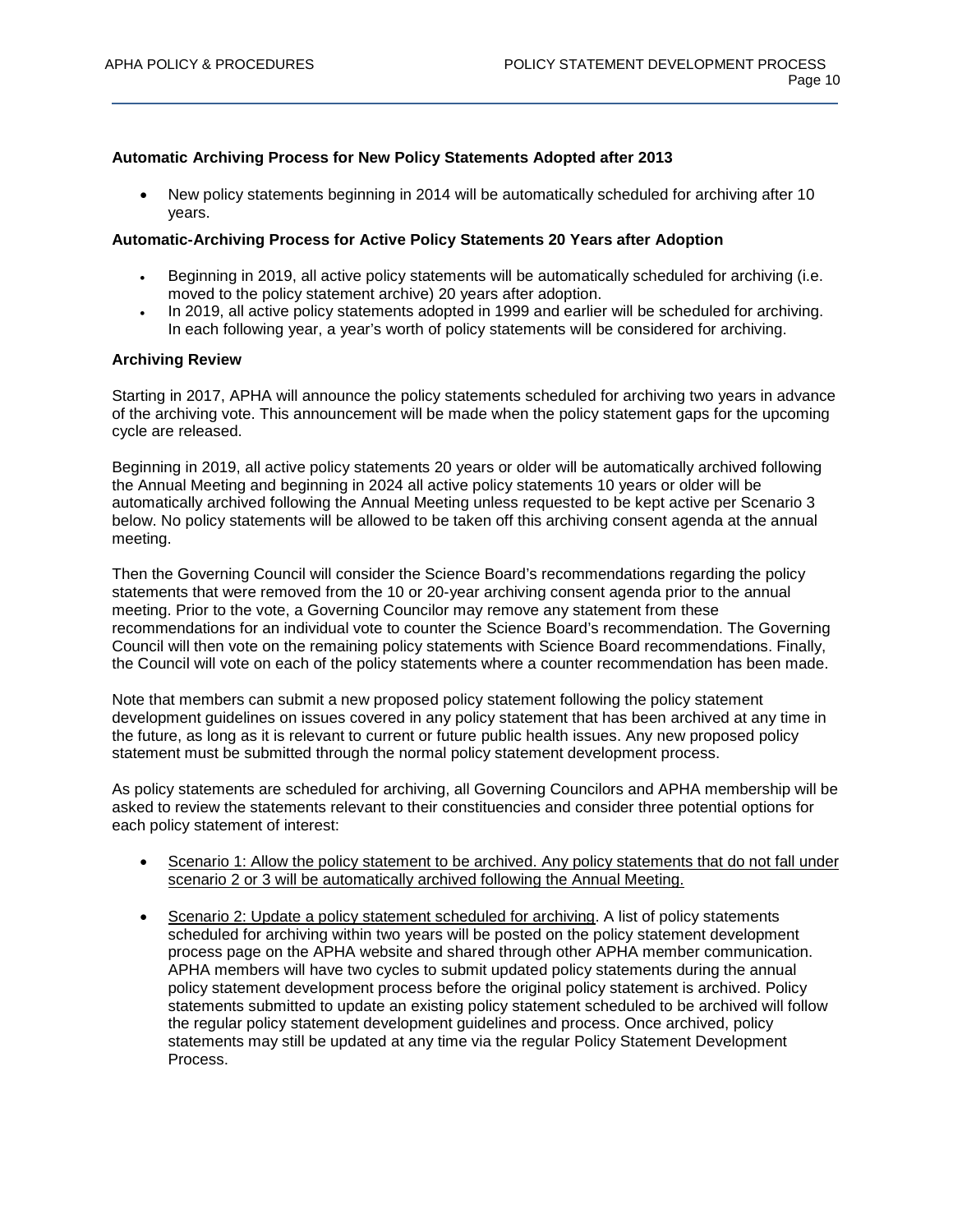## **Automatic Archiving Process for New Policy Statements Adopted after 2013**

• New policy statements beginning in 2014 will be automatically scheduled for archiving after 10 years.

# **Automatic-Archiving Process for Active Policy Statements 20 Years after Adoption**

- Beginning in 2019, all active policy statements will be automatically scheduled for archiving (i.e. moved to the policy statement archive) 20 years after adoption.
- In 2019, all active policy statements adopted in 1999 and earlier will be scheduled for archiving. In each following year, a year's worth of policy statements will be considered for archiving.

### **Archiving Review**

Starting in 2017, APHA will announce the policy statements scheduled for archiving two years in advance of the archiving vote. This announcement will be made when the policy statement gaps for the upcoming cycle are released.

Beginning in 2019, all active policy statements 20 years or older will be automatically archived following the Annual Meeting and beginning in 2024 all active policy statements 10 years or older will be automatically archived following the Annual Meeting unless requested to be kept active per Scenario 3 below. No policy statements will be allowed to be taken off this archiving consent agenda at the annual meeting.

Then the Governing Council will consider the Science Board's recommendations regarding the policy statements that were removed from the 10 or 20-year archiving consent agenda prior to the annual meeting. Prior to the vote, a Governing Councilor may remove any statement from these recommendations for an individual vote to counter the Science Board's recommendation. The Governing Council will then vote on the remaining policy statements with Science Board recommendations. Finally, the Council will vote on each of the policy statements where a counter recommendation has been made.

Note that members can submit a new proposed policy statement following the policy statement development guidelines on issues covered in any policy statement that has been archived at any time in the future, as long as it is relevant to current or future public health issues. Any new proposed policy statement must be submitted through the normal policy statement development process.

As policy statements are scheduled for archiving, all Governing Councilors and APHA membership will be asked to review the statements relevant to their constituencies and consider three potential options for each policy statement of interest:

- Scenario 1: Allow the policy statement to be archived. Any policy statements that do not fall under scenario 2 or 3 will be automatically archived following the Annual Meeting.
- Scenario 2: Update a policy statement scheduled for archiving. A list of policy statements scheduled for archiving within two years will be posted on the policy statement development process page on the APHA website and shared through other APHA member communication. APHA members will have two cycles to submit updated policy statements during the annual policy statement development process before the original policy statement is archived. Policy statements submitted to update an existing policy statement scheduled to be archived will follow the regular policy statement development guidelines and process. Once archived, policy statements may still be updated at any time via the regular Policy Statement Development Process.